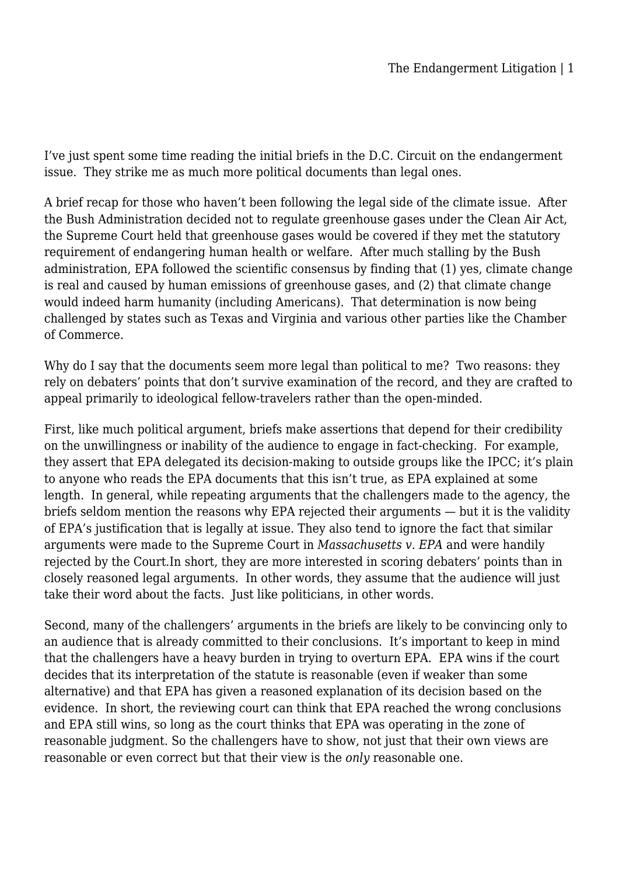I've just spent some time reading the initial briefs in the D.C. Circuit on the endangerment issue. They strike me as much more political documents than legal ones.

A brief recap for those who haven't been following the legal side of the climate issue. After the Bush Administration decided not to regulate greenhouse gases under the Clean Air Act, the Supreme Court held that greenhouse gases would be covered if they met the statutory requirement of endangering human health or welfare. After much stalling by the Bush administration, EPA followed the scientific consensus by finding that (1) yes, climate change is real and caused by human emissions of greenhouse gases, and (2) that climate change would indeed harm humanity (including Americans). That determination is now being challenged by states such as Texas and Virginia and various other parties like the Chamber of Commerce.

Why do I say that the documents seem more legal than political to me? Two reasons: they rely on debaters' points that don't survive examination of the record, and they are crafted to appeal primarily to ideological fellow-travelers rather than the open-minded.

First, like much political argument, briefs make assertions that depend for their credibility on the unwillingness or inability of the audience to engage in fact-checking. For example, they assert that EPA delegated its decision-making to outside groups like the IPCC; it's plain to anyone who reads the EPA documents that this isn't true, as EPA explained at some length. In general, while repeating arguments that the challengers made to the agency, the briefs seldom mention the reasons why EPA rejected their arguments — but it is the validity of EPA's justification that is legally at issue. They also tend to ignore the fact that similar arguments were made to the Supreme Court in *Massachusetts v. EPA* and were handily rejected by the Court.In short, they are more interested in scoring debaters' points than in closely reasoned legal arguments. In other words, they assume that the audience will just take their word about the facts. Just like politicians, in other words.

Second, many of the challengers' arguments in the briefs are likely to be convincing only to an audience that is already committed to their conclusions. It's important to keep in mind that the challengers have a heavy burden in trying to overturn EPA. EPA wins if the court decides that its interpretation of the statute is reasonable (even if weaker than some alternative) and that EPA has given a reasoned explanation of its decision based on the evidence. In short, the reviewing court can think that EPA reached the wrong conclusions and EPA still wins, so long as the court thinks that EPA was operating in the zone of reasonable judgment. So the challengers have to show, not just that their own views are reasonable or even correct but that their view is the *only* reasonable one.